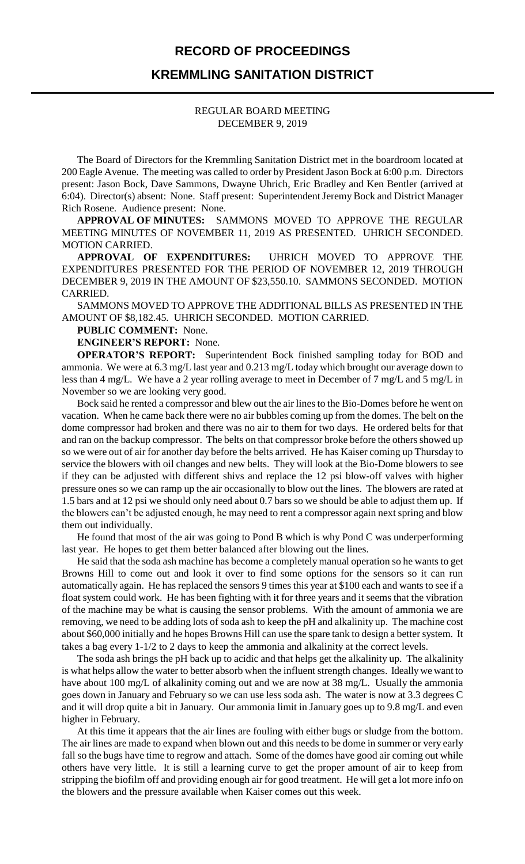#### **RECORD OF PROCEEDINGS**

### **KREMMLING SANITATION DISTRICT**

#### REGULAR BOARD MEETING DECEMBER 9, 2019

The Board of Directors for the Kremmling Sanitation District met in the boardroom located at 200 Eagle Avenue. The meeting was called to order by President Jason Bock at 6:00 p.m. Directors present: Jason Bock, Dave Sammons, Dwayne Uhrich, Eric Bradley and Ken Bentler (arrived at 6:04). Director(s) absent: None. Staff present: Superintendent Jeremy Bock and District Manager Rich Rosene. Audience present: None.

**APPROVAL OF MINUTES:** SAMMONS MOVED TO APPROVE THE REGULAR MEETING MINUTES OF NOVEMBER 11, 2019 AS PRESENTED. UHRICH SECONDED. MOTION CARRIED.

**APPROVAL OF EXPENDITURES:** UHRICH MOVED TO APPROVE THE EXPENDITURES PRESENTED FOR THE PERIOD OF NOVEMBER 12, 2019 THROUGH DECEMBER 9, 2019 IN THE AMOUNT OF \$23,550.10. SAMMONS SECONDED. MOTION CARRIED.

SAMMONS MOVED TO APPROVE THE ADDITIONAL BILLS AS PRESENTED IN THE AMOUNT OF \$8,182.45. UHRICH SECONDED. MOTION CARRIED.

#### **PUBLIC COMMENT:** None.

**ENGINEER'S REPORT:** None.

**OPERATOR'S REPORT:** Superintendent Bock finished sampling today for BOD and ammonia. We were at 6.3 mg/L last year and 0.213 mg/L today which brought our average down to less than 4 mg/L. We have a 2 year rolling average to meet in December of 7 mg/L and 5 mg/L in November so we are looking very good.

Bock said he rented a compressor and blew out the air lines to the Bio-Domes before he went on vacation. When he came back there were no air bubbles coming up from the domes. The belt on the dome compressor had broken and there was no air to them for two days. He ordered belts for that and ran on the backup compressor. The belts on that compressor broke before the others showed up so we were out of air for another day before the belts arrived. He has Kaiser coming up Thursday to service the blowers with oil changes and new belts. They will look at the Bio-Dome blowers to see if they can be adjusted with different shivs and replace the 12 psi blow-off valves with higher pressure ones so we can ramp up the air occasionally to blow out the lines. The blowers are rated at 1.5 bars and at 12 psi we should only need about 0.7 bars so we should be able to adjust them up. If the blowers can't be adjusted enough, he may need to rent a compressor again next spring and blow them out individually.

He found that most of the air was going to Pond B which is why Pond C was underperforming last year. He hopes to get them better balanced after blowing out the lines.

He said that the soda ash machine has become a completely manual operation so he wants to get Browns Hill to come out and look it over to find some options for the sensors so it can run automatically again. He has replaced the sensors 9 times this year at \$100 each and wants to see if a float system could work. He has been fighting with it for three years and it seems that the vibration of the machine may be what is causing the sensor problems. With the amount of ammonia we are removing, we need to be adding lots of soda ash to keep the pH and alkalinity up. The machine cost about \$60,000 initially and he hopes Browns Hill can use the spare tank to design a better system. It takes a bag every 1-1/2 to 2 days to keep the ammonia and alkalinity at the correct levels.

The soda ash brings the pH back up to acidic and that helps get the alkalinity up. The alkalinity is what helps allow the water to better absorb when the influent strength changes. Ideally we want to have about 100 mg/L of alkalinity coming out and we are now at 38 mg/L. Usually the ammonia goes down in January and February so we can use less soda ash. The water is now at 3.3 degrees C and it will drop quite a bit in January. Our ammonia limit in January goes up to 9.8 mg/L and even higher in February.

At this time it appears that the air lines are fouling with either bugs or sludge from the bottom. The air lines are made to expand when blown out and this needs to be dome in summer or very early fall so the bugs have time to regrow and attach. Some of the domes have good air coming out while others have very little. It is still a learning curve to get the proper amount of air to keep from stripping the biofilm off and providing enough air for good treatment. He will get a lot more info on the blowers and the pressure available when Kaiser comes out this week.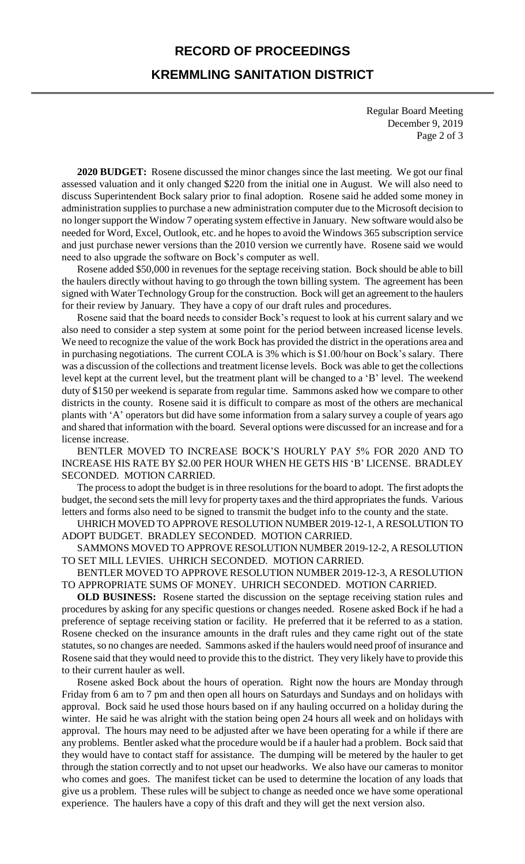# **RECORD OF PROCEEDINGS KREMMLING SANITATION DISTRICT**

Regular Board Meeting December 9, 2019 Page 2 of 3

**2020 BUDGET:** Rosene discussed the minor changes since the last meeting. We got our final assessed valuation and it only changed \$220 from the initial one in August. We will also need to discuss Superintendent Bock salary prior to final adoption. Rosene said he added some money in administration supplies to purchase a new administration computer due to the Microsoft decision to no longer support the Window 7 operating system effective in January. New software would also be needed for Word, Excel, Outlook, etc. and he hopes to avoid the Windows 365 subscription service and just purchase newer versions than the 2010 version we currently have. Rosene said we would need to also upgrade the software on Bock's computer as well.

Rosene added \$50,000 in revenues for the septage receiving station. Bock should be able to bill the haulers directly without having to go through the town billing system. The agreement has been signed with Water Technology Group for the construction. Bock will get an agreement to the haulers for their review by January. They have a copy of our draft rules and procedures.

Rosene said that the board needs to consider Bock's request to look at his current salary and we also need to consider a step system at some point for the period between increased license levels. We need to recognize the value of the work Bock has provided the district in the operations area and in purchasing negotiations. The current COLA is 3% which is \$1.00/hour on Bock's salary. There was a discussion of the collections and treatment license levels. Bock was able to get the collections level kept at the current level, but the treatment plant will be changed to a 'B' level. The weekend duty of \$150 per weekend is separate from regular time. Sammons asked how we compare to other districts in the county. Rosene said it is difficult to compare as most of the others are mechanical plants with 'A' operators but did have some information from a salary survey a couple of years ago and shared that information with the board. Several options were discussed for an increase and for a license increase.

BENTLER MOVED TO INCREASE BOCK'S HOURLY PAY 5% FOR 2020 AND TO INCREASE HIS RATE BY \$2.00 PER HOUR WHEN HE GETS HIS 'B' LICENSE. BRADLEY SECONDED. MOTION CARRIED.

The process to adopt the budget is in three resolutions for the board to adopt. The first adopts the budget, the second sets the mill levy for property taxes and the third appropriates the funds. Various letters and forms also need to be signed to transmit the budget info to the county and the state.

UHRICH MOVED TO APPROVE RESOLUTION NUMBER 2019-12-1, A RESOLUTION TO ADOPT BUDGET. BRADLEY SECONDED. MOTION CARRIED.

SAMMONS MOVED TO APPROVE RESOLUTION NUMBER 2019-12-2, A RESOLUTION TO SET MILL LEVIES. UHRICH SECONDED. MOTION CARRIED.

BENTLER MOVED TO APPROVE RESOLUTION NUMBER 2019-12-3, A RESOLUTION TO APPROPRIATE SUMS OF MONEY. UHRICH SECONDED. MOTION CARRIED.

**OLD BUSINESS:** Rosene started the discussion on the septage receiving station rules and procedures by asking for any specific questions or changes needed. Rosene asked Bock if he had a preference of septage receiving station or facility. He preferred that it be referred to as a station. Rosene checked on the insurance amounts in the draft rules and they came right out of the state statutes, so no changes are needed. Sammons asked if the haulers would need proof of insurance and Rosene said that they would need to provide this to the district. They very likely have to provide this to their current hauler as well.

Rosene asked Bock about the hours of operation. Right now the hours are Monday through Friday from 6 am to 7 pm and then open all hours on Saturdays and Sundays and on holidays with approval. Bock said he used those hours based on if any hauling occurred on a holiday during the winter. He said he was alright with the station being open 24 hours all week and on holidays with approval. The hours may need to be adjusted after we have been operating for a while if there are any problems. Bentler asked what the procedure would be if a hauler had a problem. Bock said that they would have to contact staff for assistance. The dumping will be metered by the hauler to get through the station correctly and to not upset our headworks. We also have our cameras to monitor who comes and goes. The manifest ticket can be used to determine the location of any loads that give us a problem. These rules will be subject to change as needed once we have some operational experience. The haulers have a copy of this draft and they will get the next version also.